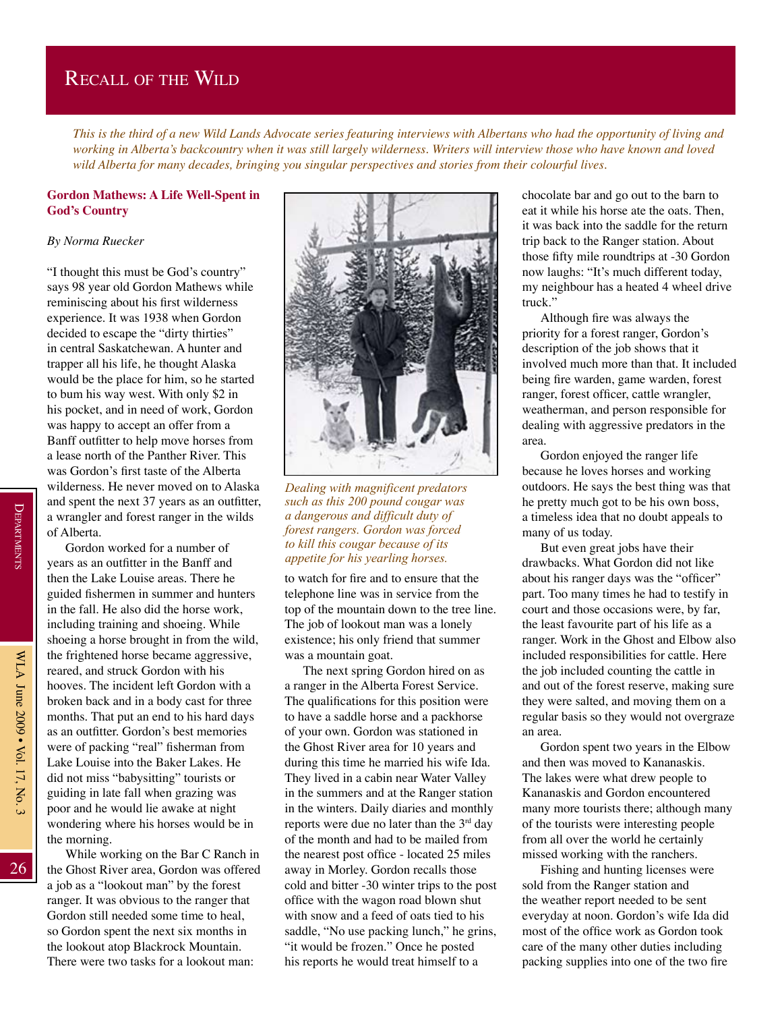## Recall of the Wild

*This is the third of a new Wild Lands Advocate series featuring interviews with Albertans who had the opportunity of living and working in Alberta's backcountry when it was still largely wilderness. Writers will interview those who have known and loved wild Alberta for many decades, bringing you singular perspectives and stories from their colourful lives.*

## **Gordon Mathews: A Life Well-Spent in God's Country**

## *By Norma Ruecker*

"I thought this must be God's country" says 98 year old Gordon Mathews while reminiscing about his first wilderness experience. It was 1938 when Gordon decided to escape the "dirty thirties" in central Saskatchewan. A hunter and trapper all his life, he thought Alaska would be the place for him, so he started to bum his way west. With only \$2 in his pocket, and in need of work, Gordon was happy to accept an offer from a Banff outfitter to help move horses from a lease north of the Panther River. This was Gordon's first taste of the Alberta wilderness. He never moved on to Alaska and spent the next 37 years as an outfitter, a wrangler and forest ranger in the wilds of Alberta.

Gordon worked for a number of years as an outfitter in the Banff and then the Lake Louise areas. There he guided fishermen in summer and hunters in the fall. He also did the horse work, including training and shoeing. While shoeing a horse brought in from the wild, the frightened horse became aggressive, reared, and struck Gordon with his hooves. The incident left Gordon with a broken back and in a body cast for three months. That put an end to his hard days as an outfitter. Gordon's best memories were of packing "real" fisherman from Lake Louise into the Baker Lakes. He did not miss "babysitting" tourists or guiding in late fall when grazing was poor and he would lie awake at night wondering where his horses would be in the morning.

While working on the Bar C Ranch in the Ghost River area, Gordon was offered a job as a "lookout man" by the forest ranger. It was obvious to the ranger that Gordon still needed some time to heal, so Gordon spent the next six months in the lookout atop Blackrock Mountain. There were two tasks for a lookout man:



*Dealing with magnificent predators such as this 200 pound cougar was a dangerous and difficult duty of forest rangers. Gordon was forced to kill this cougar because of its appetite for his yearling horses.*

to watch for fire and to ensure that the telephone line was in service from the top of the mountain down to the tree line. The job of lookout man was a lonely existence; his only friend that summer was a mountain goat.

The next spring Gordon hired on as a ranger in the Alberta Forest Service. The qualifications for this position were to have a saddle horse and a packhorse of your own. Gordon was stationed in the Ghost River area for 10 years and during this time he married his wife Ida. They lived in a cabin near Water Valley in the summers and at the Ranger station in the winters. Daily diaries and monthly reports were due no later than the  $3<sup>rd</sup>$  day of the month and had to be mailed from the nearest post office - located 25 miles away in Morley. Gordon recalls those cold and bitter -30 winter trips to the post office with the wagon road blown shut with snow and a feed of oats tied to his saddle, "No use packing lunch," he grins, "it would be frozen." Once he posted his reports he would treat himself to a

chocolate bar and go out to the barn to eat it while his horse ate the oats. Then, it was back into the saddle for the return trip back to the Ranger station. About those fifty mile roundtrips at -30 Gordon now laughs: "It's much different today, my neighbour has a heated 4 wheel drive truck."

Although fire was always the priority for a forest ranger, Gordon's description of the job shows that it involved much more than that. It included being fire warden, game warden, forest ranger, forest officer, cattle wrangler, weatherman, and person responsible for dealing with aggressive predators in the area.

Gordon enjoyed the ranger life because he loves horses and working outdoors. He says the best thing was that he pretty much got to be his own boss, a timeless idea that no doubt appeals to many of us today.

But even great jobs have their drawbacks. What Gordon did not like about his ranger days was the "officer" part. Too many times he had to testify in court and those occasions were, by far, the least favourite part of his life as a ranger. Work in the Ghost and Elbow also included responsibilities for cattle. Here the job included counting the cattle in and out of the forest reserve, making sure they were salted, and moving them on a regular basis so they would not overgraze an area.

Gordon spent two years in the Elbow and then was moved to Kananaskis. The lakes were what drew people to Kananaskis and Gordon encountered many more tourists there; although many of the tourists were interesting people from all over the world he certainly missed working with the ranchers.

Fishing and hunting licenses were sold from the Ranger station and the weather report needed to be sent everyday at noon. Gordon's wife Ida did most of the office work as Gordon took care of the many other duties including packing supplies into one of the two fire

26